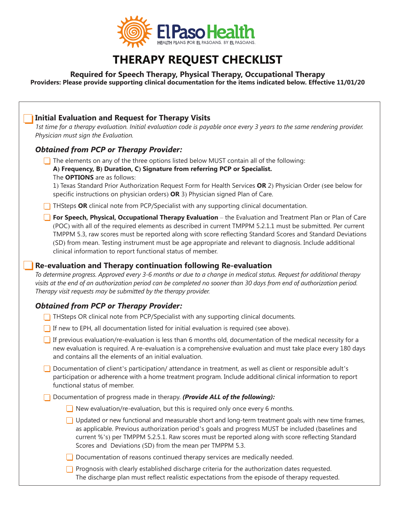

## **THERAPY REQUEST CHECKLIST**

## **Required for Speech Therapy, Physical Therapy, Occupational Therapy**

**Providers: Please provide supporting clinical documentation for the items indicated below. Effective 11/01/20**

## **Initial Evaluation and Request for Therapy Visits**  *1st time for a therapy evaluation. Initial evaluation code is payable once every 3 years to the same rendering provider. Physician must sign the Evaluation. Obtained from PCP or Therapy Provider:*  $\Box$  The elements on any of the three options listed below MUST contain all of the following:  **A) Frequency, B) Duration, C) Signature from referring PCP or Specialist.** The **OPTIONS** are as follows: 1) Texas Standard Prior Authorization Request Form for Health Services **OR** 2) Physician Order (see below for specific instructions on physician orders) **OR** 3) Physician signed Plan of Care. **THSteps OR** clinical note from PCP/Specialist with any supporting clinical documentation. **For Speech, Physical, Occupational Therapy Evaluation** – the Evaluation and Treatment Plan or Plan of Care (POC) with all of the required elements as described in current TMPPM 5.2.1.1 must be submitted. Per current TMPPM 5.3, raw scores must be reported along with score reflecting Standard Scores and Standard Deviations (SD) from mean. Testing instrument must be age appropriate and relevant to diagnosis. Include additional clinical information to report functional status of member.  **Re-evaluation and Therapy continuation following Re-evaluation**  *To determine progress. Approved every 3-6 months or due to a change in medical status. Request for additional therapy visits at the end of an authorization period can be completed no sooner than 30 days from end of authorization period. Therapy visit requests may be submitted by the therapy provider. Obtained from PCP or Therapy Provider:*  $\Box$  THSteps OR clinical note from PCP/Specialist with any supporting clinical documents.  $\Box$  If new to EPH, all documentation listed for initial evaluation is required (see above). If previous evaluation/re-evaluation is less than 6 months old, documentation of the medical necessity for a new evaluation is required. A re-evaluation is a comprehensive evaluation and must take place every 180 days and contains all the elements of an initial evaluation. Documentation of client's participation/ attendance in treatment, as well as client or responsible adult's participation or adherence with a home treatment program. Include additional clinical information to report functional status of member. Documentation of progress made in therapy. *(Provide ALL of the following):* New evaluation/re-evaluation, but this is required only once every 6 months.  $\Box$  Updated or new functional and measurable short and long-term treatment goals with new time frames, as applicable. Previous authorization period's goals and progress MUST be included (baselines and current %'s) per TMPPM 5.2.5.1. Raw scores must be reported along with score reflecting Standard Scores and Deviations (SD) from the mean per TMPPM 5.3.  $\Box$  Documentation of reasons continued therapy services are medically needed.  $\Box$  Prognosis with clearly established discharge criteria for the authorization dates requested. The discharge plan must reflect realistic expectations from the episode of therapy requested.